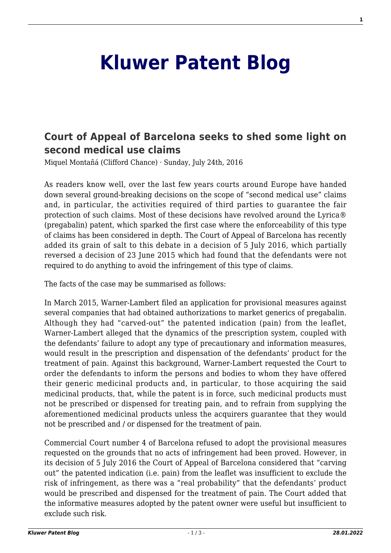## **[Kluwer Patent Blog](http://patentblog.kluweriplaw.com/)**

## **[Court of Appeal of Barcelona seeks to shed some light on](http://patentblog.kluweriplaw.com/2016/07/24/court-of-appeal-of-barcelona-seeks-to-shed-some-light-on-second-medical-use-claims/) [second medical use claims](http://patentblog.kluweriplaw.com/2016/07/24/court-of-appeal-of-barcelona-seeks-to-shed-some-light-on-second-medical-use-claims/)**

Miquel Montañá (Clifford Chance) · Sunday, July 24th, 2016

As readers know well, over the last few years courts around Europe have handed down several ground-breaking decisions on the scope of "second medical use" claims and, in particular, the activities required of third parties to guarantee the fair protection of such claims. Most of these decisions have revolved around the Lyrica® (pregabalin) patent, which sparked the first case where the enforceability of this type of claims has been considered in depth. The Court of Appeal of Barcelona has recently added its grain of salt to this debate in a decision of 5 July 2016, which partially reversed a decision of 23 June 2015 which had found that the defendants were not required to do anything to avoid the infringement of this type of claims.

The facts of the case may be summarised as follows:

In March 2015, Warner-Lambert filed an application for provisional measures against several companies that had obtained authorizations to market generics of pregabalin. Although they had "carved-out" the patented indication (pain) from the leaflet, Warner-Lambert alleged that the dynamics of the prescription system, coupled with the defendants' failure to adopt any type of precautionary and information measures, would result in the prescription and dispensation of the defendants' product for the treatment of pain. Against this background, Warner-Lambert requested the Court to order the defendants to inform the persons and bodies to whom they have offered their generic medicinal products and, in particular, to those acquiring the said medicinal products, that, while the patent is in force, such medicinal products must not be prescribed or dispensed for treating pain, and to refrain from supplying the aforementioned medicinal products unless the acquirers guarantee that they would not be prescribed and / or dispensed for the treatment of pain.

Commercial Court number 4 of Barcelona refused to adopt the provisional measures requested on the grounds that no acts of infringement had been proved. However, in its decision of 5 July 2016 the Court of Appeal of Barcelona considered that "carving out" the patented indication (i.e. pain) from the leaflet was insufficient to exclude the risk of infringement, as there was a "real probability" that the defendants' product would be prescribed and dispensed for the treatment of pain. The Court added that the informative measures adopted by the patent owner were useful but insufficient to exclude such risk.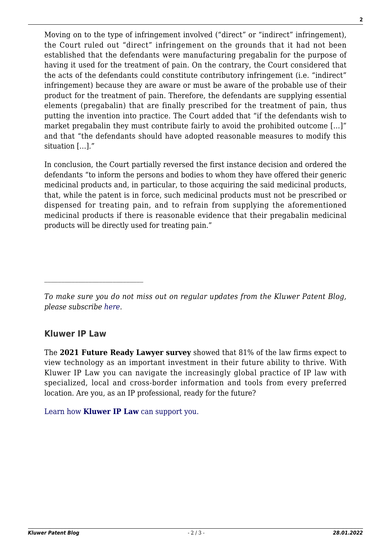Moving on to the type of infringement involved ("direct" or "indirect" infringement), the Court ruled out "direct" infringement on the grounds that it had not been established that the defendants were manufacturing pregabalin for the purpose of having it used for the treatment of pain. On the contrary, the Court considered that the acts of the defendants could constitute contributory infringement (i.e. "indirect" infringement) because they are aware or must be aware of the probable use of their product for the treatment of pain. Therefore, the defendants are supplying essential elements (pregabalin) that are finally prescribed for the treatment of pain, thus putting the invention into practice. The Court added that "if the defendants wish to market pregabalin they must contribute fairly to avoid the prohibited outcome […]" and that "the defendants should have adopted reasonable measures to modify this situation […]."

In conclusion, the Court partially reversed the first instance decision and ordered the defendants "to inform the persons and bodies to whom they have offered their generic medicinal products and, in particular, to those acquiring the said medicinal products, that, while the patent is in force, such medicinal products must not be prescribed or dispensed for treating pain, and to refrain from supplying the aforementioned medicinal products if there is reasonable evidence that their pregabalin medicinal products will be directly used for treating pain."

## **Kluwer IP Law**

The **2021 Future Ready Lawyer survey** showed that 81% of the law firms expect to view technology as an important investment in their future ability to thrive. With Kluwer IP Law you can navigate the increasingly global practice of IP law with specialized, local and cross-border information and tools from every preferred location. Are you, as an IP professional, ready for the future?

[Learn how](https://www.wolterskluwer.com/en/solutions/kluweriplaw?utm_source=patentblog&utm_medium=articleCTA&utm_campaign=article-banner) **[Kluwer IP Law](https://www.wolterskluwer.com/en/solutions/kluweriplaw?utm_source=patentblog&utm_medium=articleCTA&utm_campaign=article-banner)** [can support you.](https://www.wolterskluwer.com/en/solutions/kluweriplaw?utm_source=patentblog&utm_medium=articleCTA&utm_campaign=article-banner)

*To make sure you do not miss out on regular updates from the Kluwer Patent Blog, please subscribe [here.](http://patentblog.kluweriplaw.com/newsletter)*